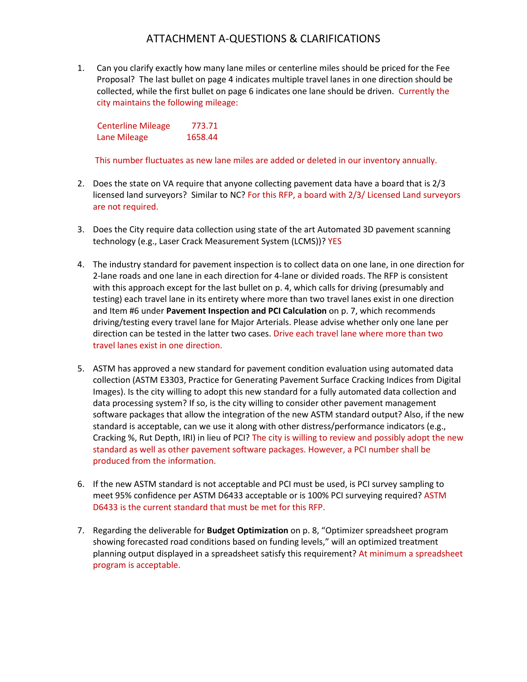## ATTACHMENT A-QUESTIONS & CLARIFICATIONS

1. Can you clarify exactly how many lane miles or centerline miles should be priced for the Fee Proposal? The last bullet on page 4 indicates multiple travel lanes in one direction should be collected, while the first bullet on page 6 indicates one lane should be driven. Currently the city maintains the following mileage:

Centerline Mileage 773.71 Lane Mileage 1658.44

This number fluctuates as new lane miles are added or deleted in our inventory annually.

- 2. Does the state on VA require that anyone collecting pavement data have a board that is 2/3 licensed land surveyors? Similar to NC? For this RFP, a board with 2/3/ Licensed Land surveyors are not required.
- 3. Does the City require data collection using state of the art Automated 3D pavement scanning technology (e.g., Laser Crack Measurement System (LCMS))? YES
- 4. The industry standard for pavement inspection is to collect data on one lane, in one direction for 2-lane roads and one lane in each direction for 4-lane or divided roads. The RFP is consistent with this approach except for the last bullet on p. 4, which calls for driving (presumably and testing) each travel lane in its entirety where more than two travel lanes exist in one direction and Item #6 under **Pavement Inspection and PCI Calculation** on p. 7, which recommends driving/testing every travel lane for Major Arterials. Please advise whether only one lane per direction can be tested in the latter two cases. Drive each travel lane where more than two travel lanes exist in one direction.
- 5. ASTM has approved a new standard for pavement condition evaluation using automated data collection (ASTM E3303, Practice for Generating Pavement Surface Cracking Indices from Digital Images). Is the city willing to adopt this new standard for a fully automated data collection and data processing system? If so, is the city willing to consider other pavement management software packages that allow the integration of the new ASTM standard output? Also, if the new standard is acceptable, can we use it along with other distress/performance indicators (e.g., Cracking %, Rut Depth, IRI) in lieu of PCI? The city is willing to review and possibly adopt the new standard as well as other pavement software packages. However, a PCI number shall be produced from the information.
- 6. If the new ASTM standard is not acceptable and PCI must be used, is PCI survey sampling to meet 95% confidence per ASTM D6433 acceptable or is 100% PCI surveying required? ASTM D6433 is the current standard that must be met for this RFP.
- 7. Regarding the deliverable for **Budget Optimization** on p. 8, "Optimizer spreadsheet program showing forecasted road conditions based on funding levels," will an optimized treatment planning output displayed in a spreadsheet satisfy this requirement? At minimum a spreadsheet program is acceptable.